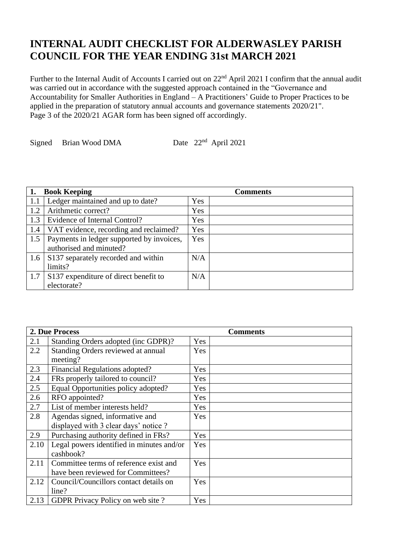## **INTERNAL AUDIT CHECKLIST FOR ALDERWASLEY PARISH COUNCIL FOR THE YEAR ENDING 31st MARCH 2021**

Further to the Internal Audit of Accounts I carried out on 22nd April 2021 I confirm that the annual audit was carried out in accordance with the suggested approach contained in the "Governance and Accountability for Smaller Authorities in England – A Practitioners' Guide to Proper Practices to be applied in the preparation of statutory annual accounts and governance statements 2020/21". Page 3 of the 2020/21 AGAR form has been signed off accordingly.

Signed Brian Wood DMA Date  $22<sup>nd</sup>$  April 2021

|     | <b>Book Keeping</b>                       | <b>Comments</b> |
|-----|-------------------------------------------|-----------------|
| 1.1 | Ledger maintained and up to date?         | Yes             |
| 1.2 | Arithmetic correct?                       | <b>Yes</b>      |
| 1.3 | Evidence of Internal Control?             | Yes             |
| 1.4 | VAT evidence, recording and reclaimed?    | Yes             |
| 1.5 | Payments in ledger supported by invoices, | Yes             |
|     | authorised and minuted?                   |                 |
| 1.6 | S137 separately recorded and within       | N/A             |
|     | limits?                                   |                 |
| 1.7 | S137 expenditure of direct benefit to     | N/A             |
|     | electorate?                               |                 |

|      | 2. Due Process                            | <b>Comments</b> |
|------|-------------------------------------------|-----------------|
| 2.1  | Standing Orders adopted (inc GDPR)?       | Yes             |
| 2.2  | Standing Orders reviewed at annual        | Yes             |
|      | meeting?                                  |                 |
| 2.3  | Financial Regulations adopted?            | Yes             |
| 2.4  | FRs properly tailored to council?         | Yes             |
| 2.5  | Equal Opportunities policy adopted?       | Yes             |
| 2.6  | RFO appointed?                            | Yes             |
| 2.7  | List of member interests held?            | Yes             |
| 2.8  | Agendas signed, informative and           | Yes             |
|      | displayed with 3 clear days' notice ?     |                 |
| 2.9  | Purchasing authority defined in FRs?      | Yes             |
| 2.10 | Legal powers identified in minutes and/or | Yes             |
|      | cashbook?                                 |                 |
| 2.11 | Committee terms of reference exist and    | Yes             |
|      | have been reviewed for Committees?        |                 |
| 2.12 | Council/Councillors contact details on    | Yes             |
|      | line?                                     |                 |
| 2.13 | GDPR Privacy Policy on web site?          | Yes             |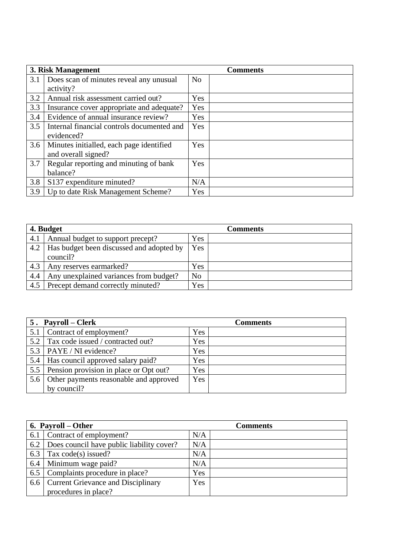|     | 3. Risk Management                         | <b>Comments</b> |  |
|-----|--------------------------------------------|-----------------|--|
| 3.1 | Does scan of minutes reveal any unusual    | No              |  |
|     | activity?                                  |                 |  |
| 3.2 | Annual risk assessment carried out?        | Yes             |  |
| 3.3 | Insurance cover appropriate and adequate?  | Yes             |  |
| 3.4 | Evidence of annual insurance review?       | Yes             |  |
| 3.5 | Internal financial controls documented and | Yes             |  |
|     | evidenced?                                 |                 |  |
| 3.6 | Minutes initialled, each page identified   | Yes             |  |
|     | and overall signed?                        |                 |  |
| 3.7 | Regular reporting and minuting of bank     | Yes             |  |
|     | balance?                                   |                 |  |
| 3.8 | S137 expenditure minuted?                  | N/A             |  |
| 3.9 | Up to date Risk Management Scheme?         | Yes             |  |

| 4. Budget |                                          |                | <b>Comments</b> |
|-----------|------------------------------------------|----------------|-----------------|
| 4.1       | Annual budget to support precept?        | <b>Yes</b>     |                 |
| 4.2       | Has budget been discussed and adopted by | Yes            |                 |
|           | council?                                 |                |                 |
| 4.3       | Any reserves earmarked?                  | <b>Yes</b>     |                 |
| 4.4       | Any unexplained variances from budget?   | N <sub>o</sub> |                 |
| 4.5       | Precept demand correctly minuted?        | Yes            |                 |

|                  | 5. Payroll – Clerk                      | <b>Comments</b> |
|------------------|-----------------------------------------|-----------------|
| 5.1              | Contract of employment?                 | Yes             |
| 5.2              | Tax code issued / contracted out?       | Yes             |
|                  | 5.3   PAYE / NI evidence?               | Yes             |
|                  | 5.4   Has council approved salary paid? | Yes             |
| $5.5$            | Pension provision in place or Opt out?  | Yes             |
| 5.6 <sub>1</sub> | Other payments reasonable and approved  | Yes             |
|                  | by council?                             |                 |

| 6. Payroll – Other |                                           | <b>Comments</b> |  |
|--------------------|-------------------------------------------|-----------------|--|
| 6.1                | Contract of employment?                   | N/A             |  |
| 6.2                | Does council have public liability cover? | N/A             |  |
| 6.3                | Tax code(s) issued?                       | N/A             |  |
| 6.4                | Minimum wage paid?                        | N/A             |  |
|                    | 6.5   Complaints procedure in place?      | Yes             |  |
|                    | 6.6 Current Grievance and Disciplinary    | Yes             |  |
|                    | procedures in place?                      |                 |  |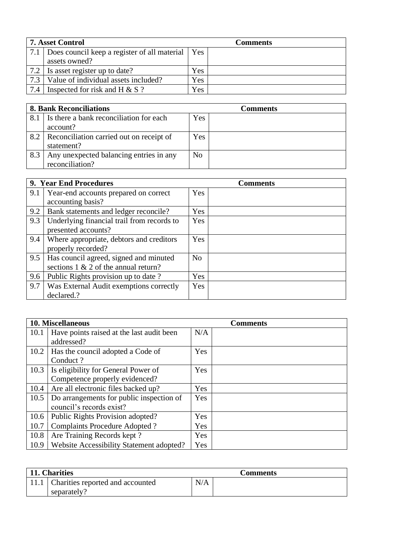| <b>7. Asset Control</b> |                                              |     | <b>Comments</b> |
|-------------------------|----------------------------------------------|-----|-----------------|
| 7.1                     | Does council keep a register of all material | Yes |                 |
|                         | assets owned?                                |     |                 |
| 7.2                     | Is asset register up to date?                | Yes |                 |
| 7.3                     | Value of individual assets included?         | Yes |                 |
| 7.4                     | Inspected for risk and H $& S$ ?             | Yes |                 |

| <b>8. Bank Reconciliations</b> |                                          |                | <b>Comments</b> |
|--------------------------------|------------------------------------------|----------------|-----------------|
| 8.1                            | Is there a bank reconciliation for each  | Yes            |                 |
|                                | account?                                 |                |                 |
| 8.2                            | Reconciliation carried out on receipt of | Yes            |                 |
|                                | statement?                               |                |                 |
| 8.3                            | Any unexpected balancing entries in any  | N <sub>o</sub> |                 |
|                                | reconciliation?                          |                |                 |

|     | 9. Year End Procedures                     | <b>Comments</b> |
|-----|--------------------------------------------|-----------------|
| 9.1 | Year-end accounts prepared on correct      | Yes             |
|     | accounting basis?                          |                 |
| 9.2 | Bank statements and ledger reconcile?      | Yes             |
| 9.3 | Underlying financial trail from records to | Yes             |
|     | presented accounts?                        |                 |
| 9.4 | Where appropriate, debtors and creditors   | Yes             |
|     | properly recorded?                         |                 |
| 9.5 | Has council agreed, signed and minuted     | N <sub>o</sub>  |
|     | sections $1 \& 2$ of the annual return?    |                 |
| 9.6 | Public Rights provision up to date?        | Yes             |
| 9.7 | Was External Audit exemptions correctly    | Yes             |
|     | declared.?                                 |                 |

|      | <b>10. Miscellaneous</b>                  | <b>Comments</b> |
|------|-------------------------------------------|-----------------|
| 10.1 | Have points raised at the last audit been | N/A             |
|      | addressed?                                |                 |
| 10.2 | Has the council adopted a Code of         | Yes             |
|      | Conduct?                                  |                 |
| 10.3 | Is eligibility for General Power of       | Yes             |
|      | Competence properly evidenced?            |                 |
| 10.4 | Are all electronic files backed up?       | Yes             |
| 10.5 | Do arrangements for public inspection of  | Yes             |
|      | council's records exist?                  |                 |
| 10.6 | Public Rights Provision adopted?          | Yes             |
| 10.7 | <b>Complaints Procedure Adopted?</b>      | Yes             |
| 10.8 | Are Training Records kept?                | Yes             |
| 10.9 | Website Accessibility Statement adopted?  | Yes             |

| 11. Charities                         |     | <b>Comments</b> |
|---------------------------------------|-----|-----------------|
| 11.1 Charities reported and accounted | N/A |                 |
| separately?                           |     |                 |